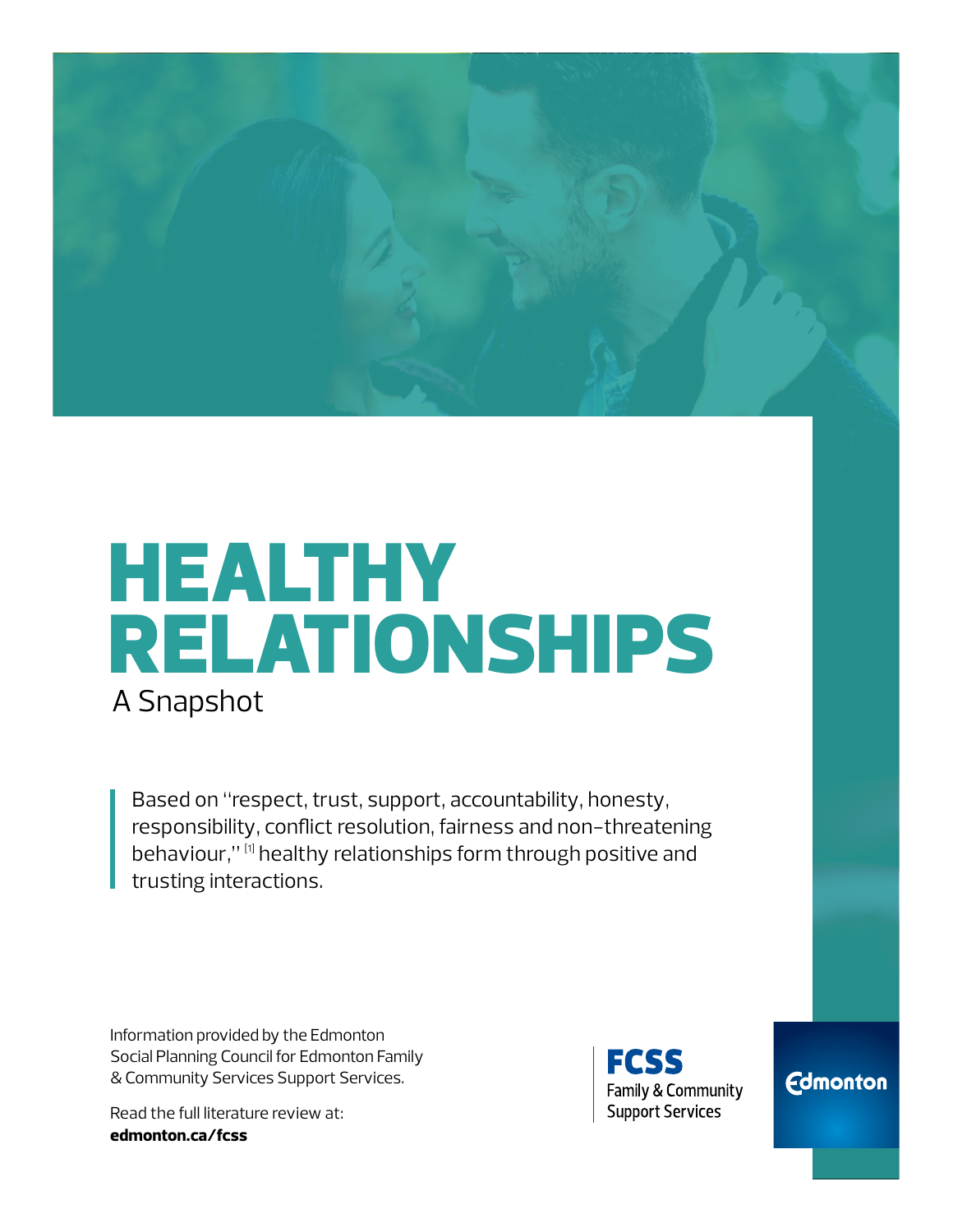

# HEALTHY RELATIONSHIPS A Snapshot

Based on "respect, trust, support, accountability, honesty, responsibility, conflict resolution, fairness and non-threatening behaviour," [1] healthy relationships form through positive and trusting interactions.

Information provided by the Edmonton Social Planning Council for Edmonton Family & Community Services Support Services.

Read the full literature review at: **[edmonton.ca/fcss](http://edmonton.ca/fcss)**



**Edmonton**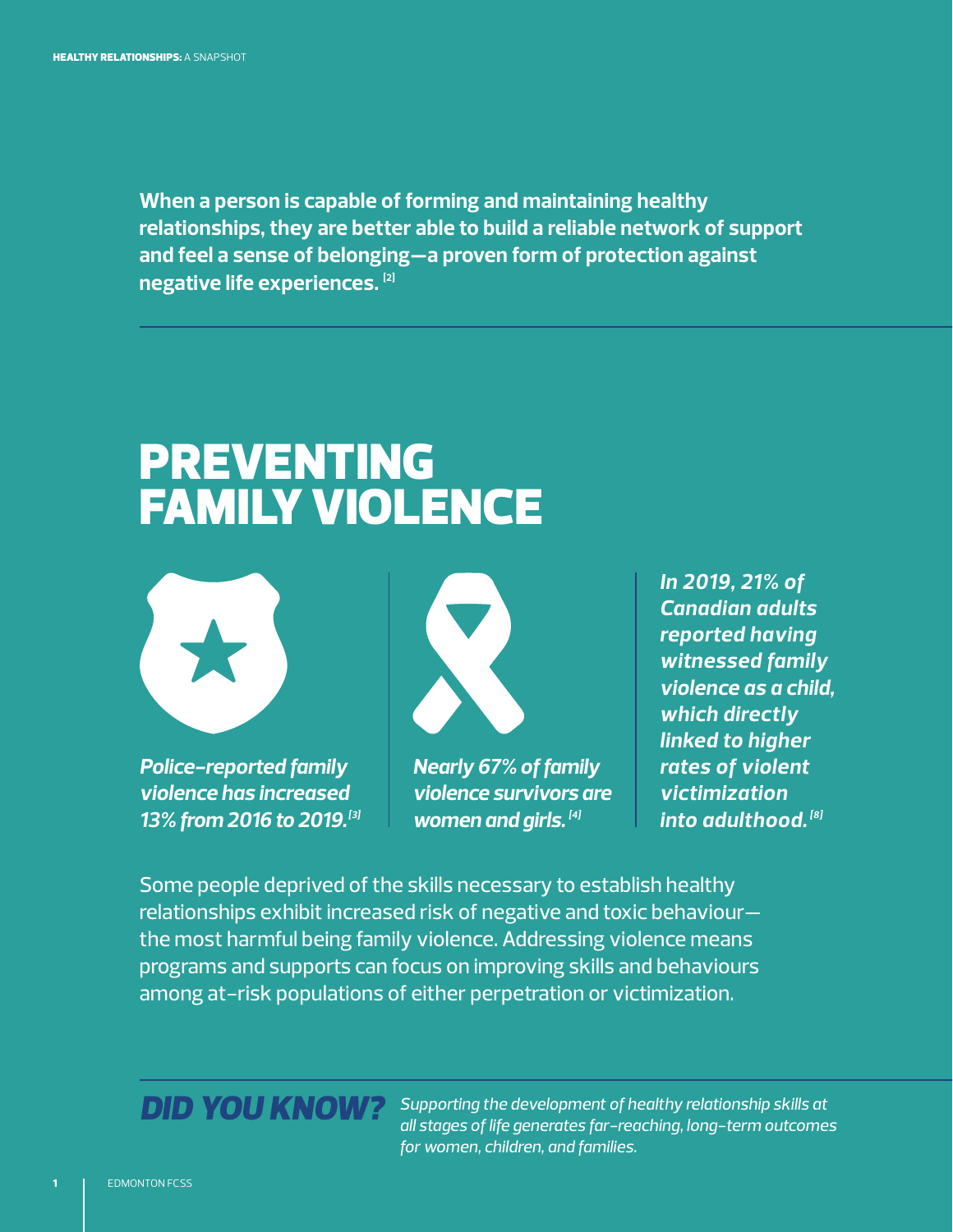**When a person is capable of forming and maintaining healthy relationships, they are better able to build a reliable network of support and feel a sense of belonging—a proven form of protection against negative life experiences. [2]**

## PREVENTING FAMILY VIOLENCE



*Police-reported family violence has increased 13% from 2016 to 2019.[3]* 



*Nearly 67% of family violence survivors are women and girls. [4]* 

*In 2019, 21% of Canadian adults reported having witnessed family violence as a child, which directly linked to higher rates of violent victimization into adulthood. [8]*

Some people deprived of the skills necessary to establish healthy relationships exhibit increased risk of negative and toxic behaviour the most harmful being family violence. Addressing violence means programs and supports can focus on improving skills and behaviours among at-risk populations of either perpetration or victimization.

#### *DID YOU KNOW?*

*Supporting the development of healthy relationship skills at all stages of life generates far-reaching, long-term outcomes for women, children, and families.*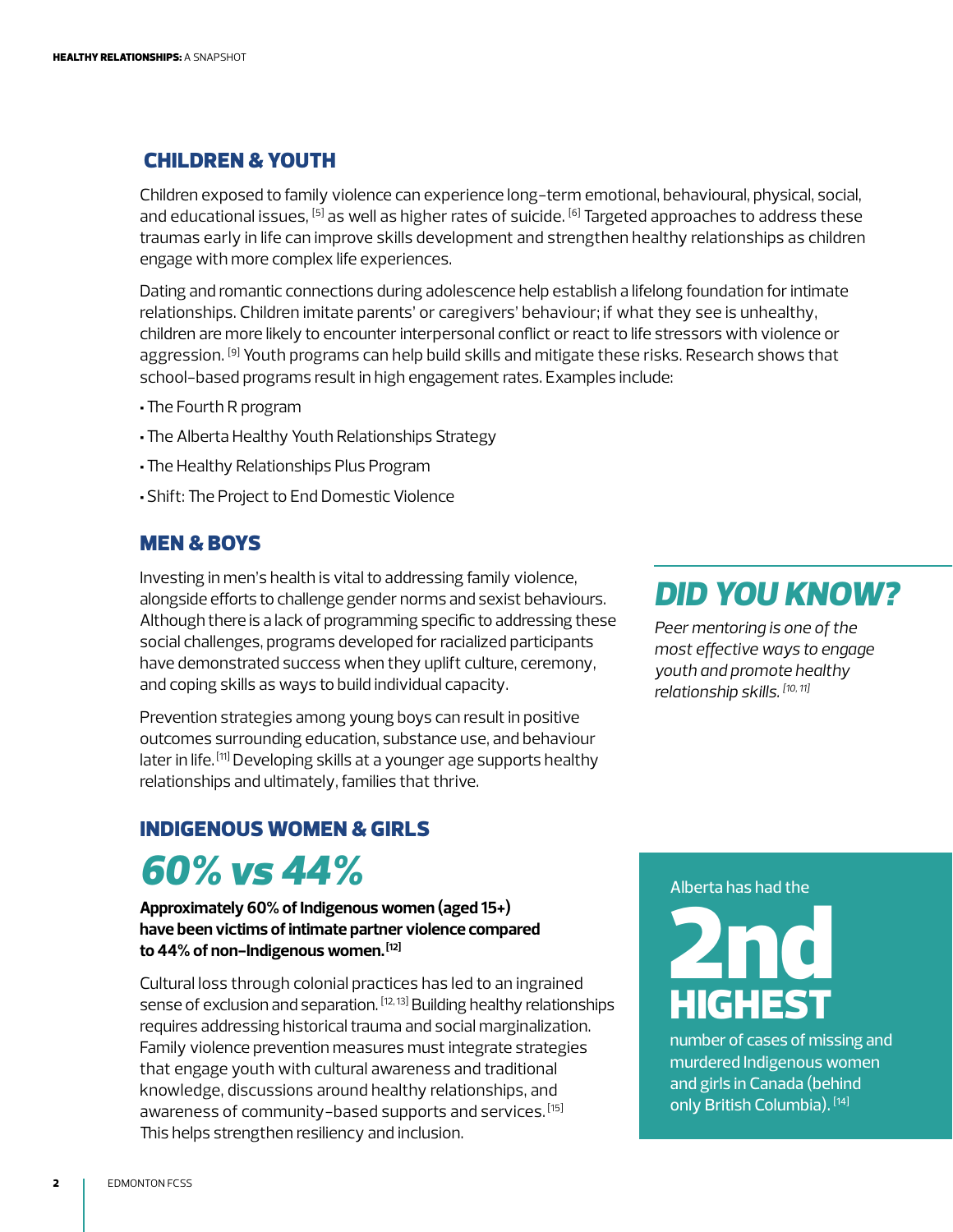#### CHILDREN & YOUTH

Children exposed to family violence can experience long-term emotional, behavioural, physical, social, and educational issues,  $^{[5]}$  as well as higher rates of suicide.  $^{[6]}$  Targeted approaches to address these traumas early in life can improve skills development and strengthen healthy relationships as children engage with more complex life experiences.

Dating and romantic connections during adolescence help establish a lifelong foundation for intimate relationships. Children imitate parents' or caregivers' behaviour; if what they see is unhealthy, children are more likely to encounter interpersonal conflict or react to life stressors with violence or aggression. <sup>[9]</sup> Youth programs can help build skills and mitigate these risks. Research shows that school-based programs result in high engagement rates. Examples include:

- •The Fourth R program
- •The Alberta Healthy Youth Relationships Strategy
- •The Healthy Relationships Plus Program
- •Shift: The Project to End Domestic Violence

#### MEN & BOYS

Investing in men's health is vital to addressing family violence, alongside efforts to challenge gender norms and sexist behaviours. Although there is a lack of programming specific to addressing these social challenges, programs developed for racialized participants have demonstrated success when they uplift culture, ceremony, and coping skills as ways to build individual capacity.

Prevention strategies among young boys can result in positive outcomes surrounding education, substance use, and behaviour later in life. [11] Developing skills at a younger age supports healthy relationships and ultimately, families that thrive.

#### INDIGENOUS WOMEN & GIRLS

### *60% vs 44%*

**Approximately 60% of Indigenous women (aged 15+) have been victims of intimate partner violence compared to 44% of non-Indigenous women. [12]**

Cultural loss through colonial practices has led to an ingrained sense of exclusion and separation. <sup>[12, 13]</sup> Building healthy relationships requires addressing historical trauma and social marginalization. Family violence prevention measures must integrate strategies that engage youth with cultural awareness and traditional knowledge, discussions around healthy relationships, and awareness of community-based supports and services. [15] This helps strengthen resiliency and inclusion.

#### *DID YOU KNOW?*

*Peer mentoring is one of the most effective ways to engage youth and promote healthy relationship skills. [10, 11]* 

#### Alberta has had the



number of cases of missing and murdered Indigenous women and girls in Canada (behind only British Columbia). [14]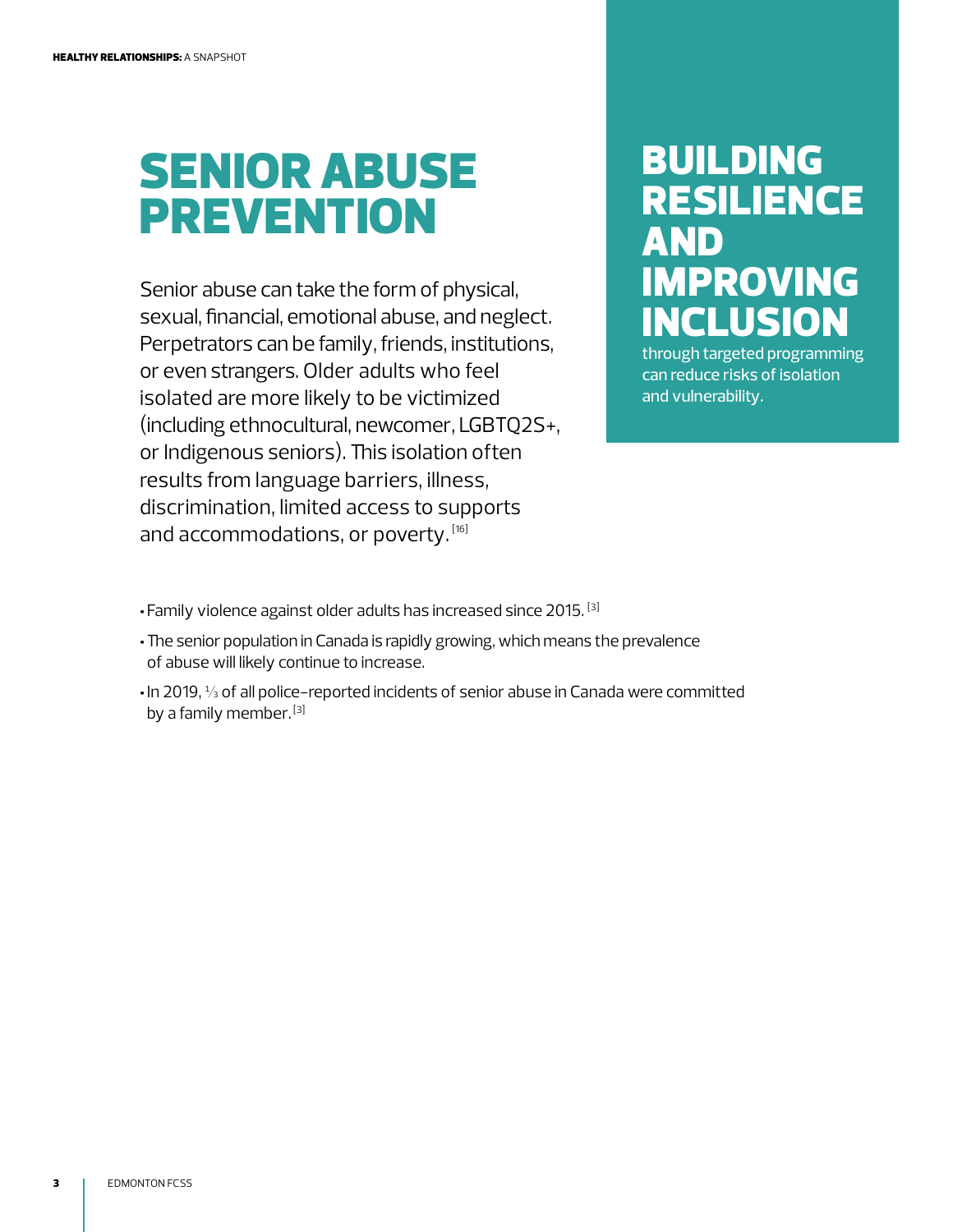## SENIOR ABUSE PREVENTION

Senior abuse can take the form of physical, sexual, financial, emotional abuse, and neglect. Perpetrators can be family, friends, institutions, or even strangers. Older adults who feel isolated are more likely to be victimized (including ethnocultural, newcomer, LGBTQ2S+, or Indigenous seniors). This isolation often results from language barriers, illness, discrimination, limited access to supports and accommodations, or poverty. [16]

### BUILDING RESILIENCE AND IMPROVING INCLUSION

through targeted programming can reduce risks of isolation and vulnerability.

- Family violence against older adults has increased since 2015. [3]
- •The senior population in Canada is rapidly growing, which means the prevalence of abuse will likely continue to increase.
- In 2019, ⅓ of all police-reported incidents of senior abuse in Canada were committed by a family member.<sup>[3]</sup>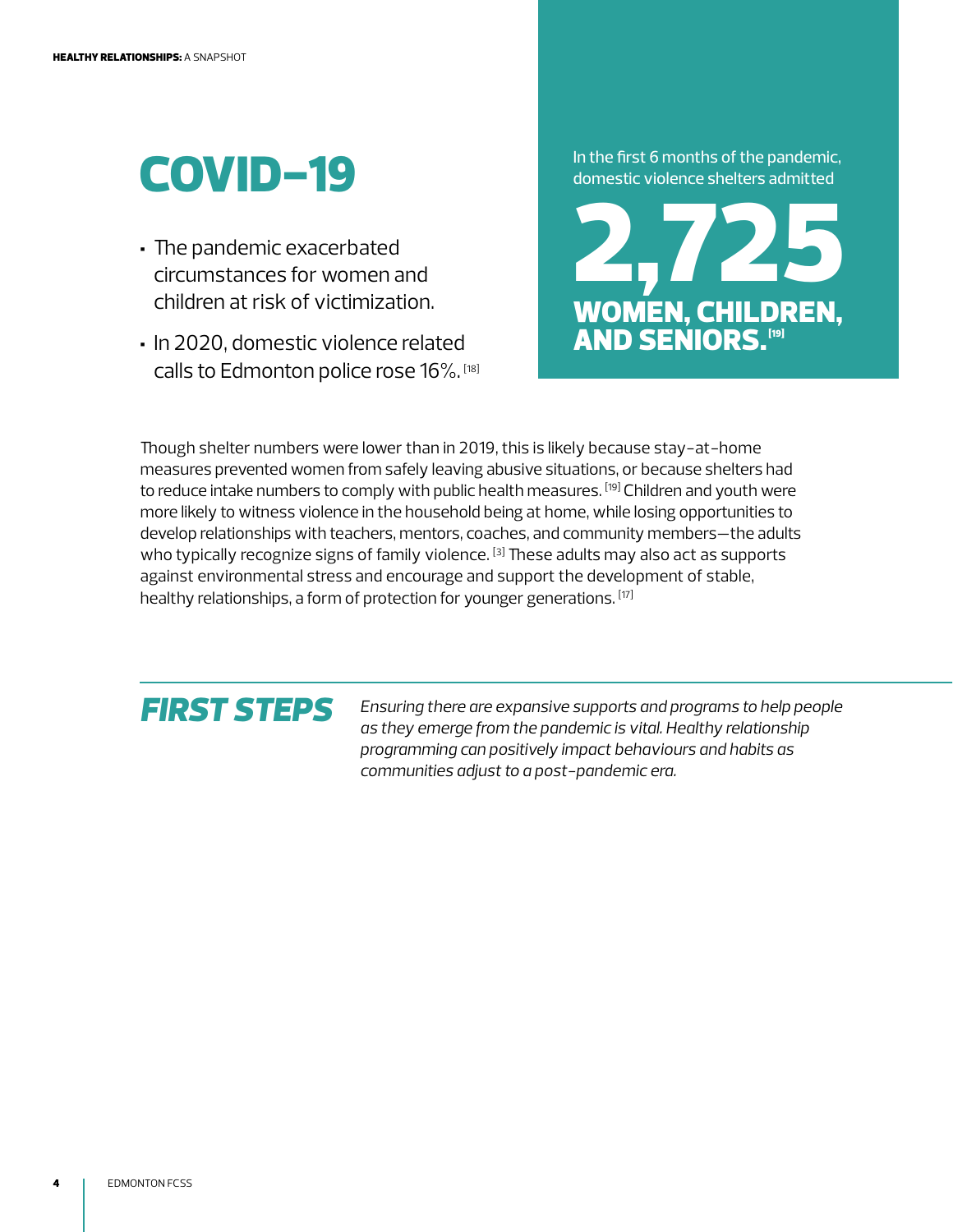## COVID-19

- The pandemic exacerbated circumstances for women and children at risk of victimization.
- In 2020, domestic violence related calls to Edmonton police rose 16%. [18]

In the first 6 months of the pandemic, domestic violence shelters admitted



Though shelter numbers were lower than in 2019, this is likely because stay-at-home measures prevented women from safely leaving abusive situations, or because shelters had to reduce intake numbers to comply with public health measures. [19] Children and youth were more likely to witness violence in the household being at home, while losing opportunities to develop relationships with teachers, mentors, coaches, and community members—the adults who typically recognize signs of family violence. [3] These adults may also act as supports against environmental stress and encourage and support the development of stable, healthy relationships, a form of protection for younger generations. [17]

### *FIRST STEPS*

*Ensuring there are expansive supports and programs to help people as they emerge from the pandemic is vital. Healthy relationship programming can positively impact behaviours and habits as communities adjust to a post-pandemic era.*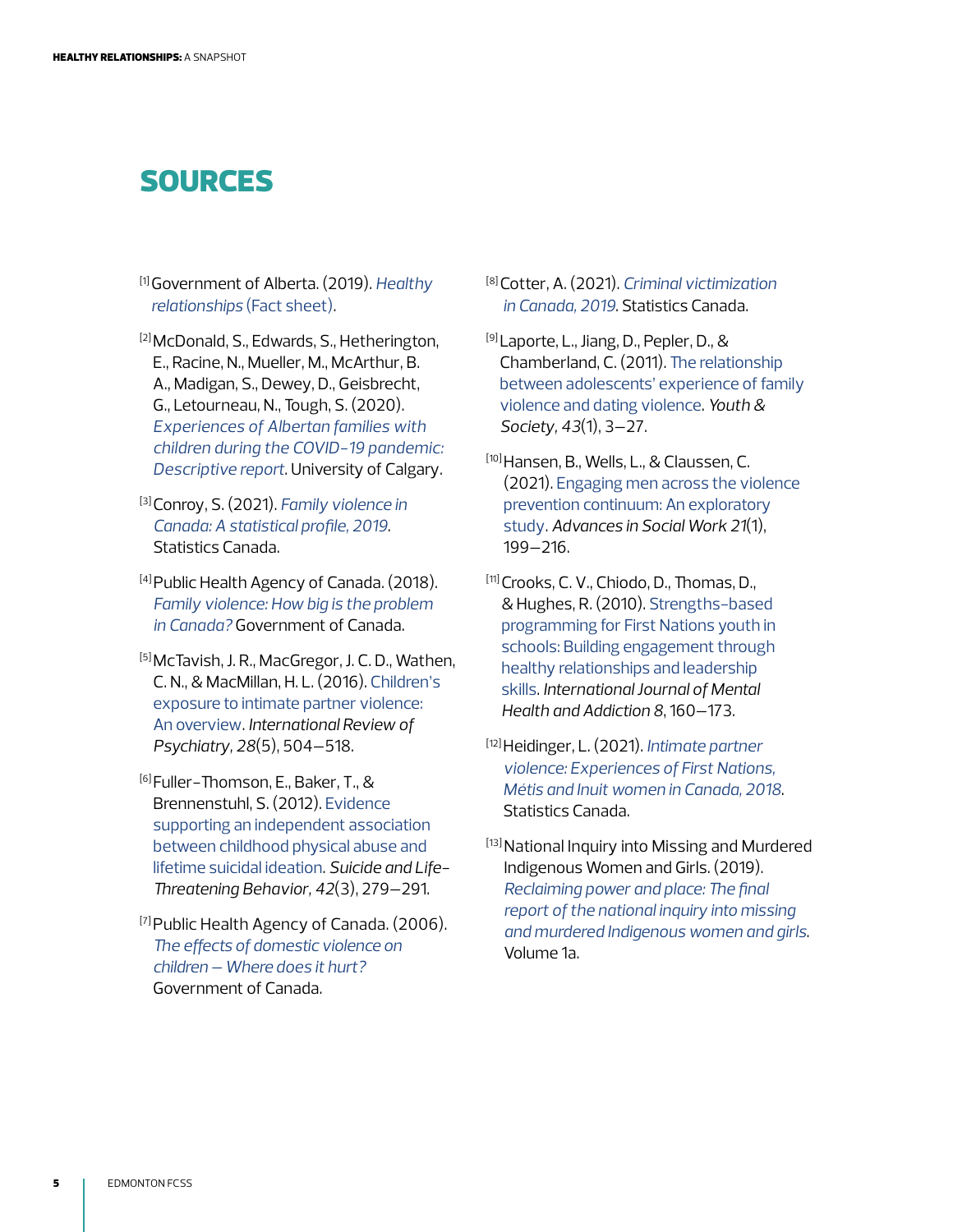#### SOURCES

- [1] Government of Alberta. (2019). *[Healthy](https://open.alberta.ca/publications/fact-sheet-what-is-a-healthy-relationship)  [relationships](https://open.alberta.ca/publications/fact-sheet-what-is-a-healthy-relationship)* (Fact sheet).
- [2] McDonald, S., Edwards, S., Hetherington, E., Racine, N., Mueller, M., McArthur, B. A., Madigan, S., Dewey, D., Geisbrecht, G., Letourneau, N., Tough, S. (2020). *[Experiences of Albertan families with](https://prism.ucalgary.ca/handle/1880/113131)  [children during the COVID-19 pandemic:](https://prism.ucalgary.ca/handle/1880/113131)  [Descriptive report](https://prism.ucalgary.ca/handle/1880/113131)*. University of Calgary.
- [3] Conroy, S. (2021). *[Family violence in](https://www150.statcan.gc.ca/n1/pub/85-002-x/2021001/article/00001-eng.htm)  [Canada: A statistical profile, 2019](https://www150.statcan.gc.ca/n1/pub/85-002-x/2021001/article/00001-eng.htm)*. Statistics Canada.
- [4] Public Health Agency of Canada. (2018). *[Family violence: How big is the problem](https://www.canada.ca/en/public-health/services/health-promotion/stop-family-violence/problem-canada.html)  [in Canada?](https://www.canada.ca/en/public-health/services/health-promotion/stop-family-violence/problem-canada.html)* Government of Canada.
- [5] McTavish, J. R., MacGregor, J. C. D., Wathen, C. N., & MacMillan, H. L. (2016). [Children's](https://doi.org/10.1080/09540261.2016.1205001)  [exposure to intimate partner violence:](https://doi.org/10.1080/09540261.2016.1205001)  [An overview.](https://doi.org/10.1080/09540261.2016.1205001) *International Review of Psychiatry, 28*(5), 504–518.
- [6] Fuller-Thomson, E., Baker, T., & Brennenstuhl, S. (2012). [Evidence](https://doi.org/10.1111/j.1943-278X.2012.00089.x)  [supporting an independent association](https://doi.org/10.1111/j.1943-278X.2012.00089.x)  [between childhood physical abuse and](https://doi.org/10.1111/j.1943-278X.2012.00089.x)  [lifetime suicidal ideation](https://doi.org/10.1111/j.1943-278X.2012.00089.x). *Suicide and Life-Threatening Behavior, 42*(3), 279–291.
- [7] Public Health Agency of Canada. (2006). *[The effects of domestic violence on](https://www.canada.ca/en/public-health/services/health-promotion/stop-family-violence/publications/effects-domestic-violence-children-hurt.html)  [children – Where does it hurt?](https://www.canada.ca/en/public-health/services/health-promotion/stop-family-violence/publications/effects-domestic-violence-children-hurt.html)* Government of Canada.
- [8] Cotter, A. (2021). *[Criminal victimization](https://www150.statcan.gc.ca/n1/pub/85-002-x/2021001/article/00014-eng.htm)  [in Canada, 2019](https://www150.statcan.gc.ca/n1/pub/85-002-x/2021001/article/00014-eng.htm)*. Statistics Canada.
- [9] Laporte, L., Jiang, D., Pepler, D., & Chamberland, C. (2011). [The relationship](https://doi.org/10.1177/0044118X09336631)  [between adolescents' experience of family](https://doi.org/10.1177/0044118X09336631)  [violence and dating violence.](https://doi.org/10.1177/0044118X09336631) *Youth & Society, 43*(1), 3–27.
- [10] Hansen, B., Wells, L., & Claussen, C. (2021). [Engaging men across the violence](https://doi.org/10.18060/24458)  [prevention continuum: An exploratory](https://doi.org/10.18060/24458)  [study](https://doi.org/10.18060/24458). *Advances in Social Work 21*(1), 199–216.
- [11] Crooks, C. V., Chiodo, D., Thomas, D., & Hughes, R. (2010). [Strengths-based](https://doi.org/10.1007/s11469-009-9242-0)  [programming for First Nations youth in](https://doi.org/10.1007/s11469-009-9242-0)  [schools: Building engagement through](https://doi.org/10.1007/s11469-009-9242-0)  [healthy relationships and leadership](https://doi.org/10.1007/s11469-009-9242-0)  [skills.](https://doi.org/10.1007/s11469-009-9242-0) *International Journal of Mental Health and Addiction 8*, 160–173.
- [12] Heidinger, L. (2021). *[Intimate partner](https://www150.statcan.gc.ca/n1/pub/85-002-x/2021001/article/00007-eng.htm)  [violence: Experiences of First Nations,](https://www150.statcan.gc.ca/n1/pub/85-002-x/2021001/article/00007-eng.htm)  [Métis and Inuit women in Canada, 2018](https://www150.statcan.gc.ca/n1/pub/85-002-x/2021001/article/00007-eng.htm)*. Statistics Canada.
- [13] National Inquiry into Missing and Murdered Indigenous Women and Girls. (2019). *[Reclaiming power and place: The final](https://www.mmiwg-ffada.ca/wp-content/uploads/2019/06/Final_Report_Vol_1a-1.pdf)  [report of the national inquiry into missing](https://www.mmiwg-ffada.ca/wp-content/uploads/2019/06/Final_Report_Vol_1a-1.pdf)  [and murdered Indigenous women and girls](https://www.mmiwg-ffada.ca/wp-content/uploads/2019/06/Final_Report_Vol_1a-1.pdf)*. Volume 1a.